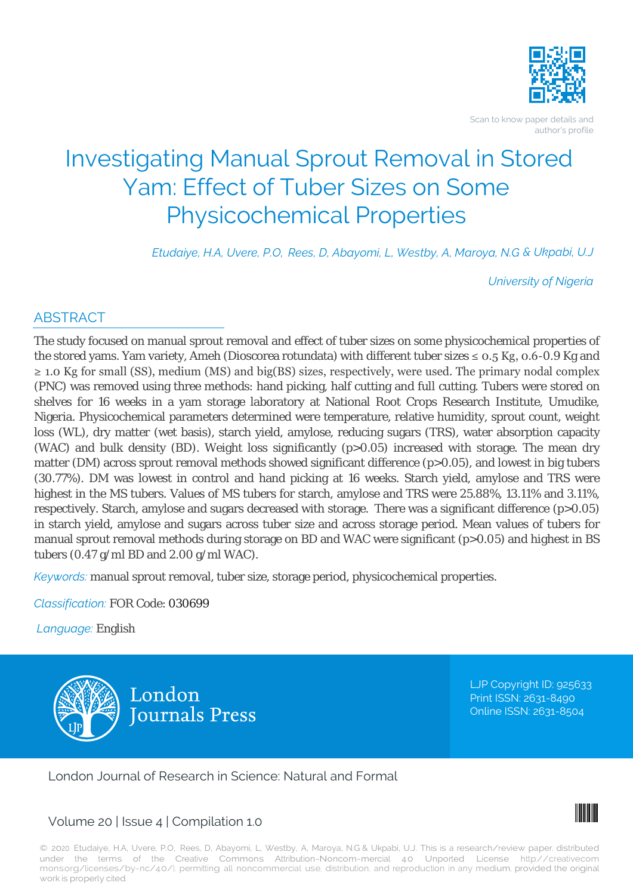

Scan to know paper details and author's profile

# Investigating Manual Sprout Removal in Stored Yam: Effect of Tuber Sizes on Some Physicochemical Properties

*Etudaiye, H.A, Uvere, P.O, Rees, D, Abayomi, L, Westby, A, Maroya, N.G & Ukpabi, U.J*

*University of Nigeria*

# ABSTRACT

The study focused on manual sprout removal and effect of tuber sizes on some physicochemical properties of the stored yams. Yam variety, Ameh (Dioscorea rotundata) with different tuber sizes  $\leq 0.5$  Kg, 0.6-0.9 Kg and ≥ 1.0 Kg for small (SS), medium (MS) and big(BS) sizes, respectively, were used. The primary nodal complex (PNC) was removed using three methods: hand picking, half cutting and full cutting. Tubers were stored on shelves for 16 weeks in a yam storage laboratory at National Root Crops Research Institute, Umudike, Nigeria. Physicochemical parameters determined were temperature, relative humidity, sprout count, weight loss (WL), dry matter (wet basis), starch yield, amylose, reducing sugars (TRS), water absorption capacity (WAC) and bulk density (BD). Weight loss significantly (p>0.05) increased with storage. The mean dry matter (DM) across sprout removal methods showed significant difference (p>0.05), and lowest in big tubers (30.77%). DM was lowest in control and hand picking at 16 weeks. Starch yield, amylose and TRS were highest in the MS tubers. Values of MS tubers for starch, amylose and TRS were 25.88%, 13.11% and 3.11%, respectively. Starch, amylose and sugars decreased with storage. There was a significant difference (p>0.05) in starch yield, amylose and sugars across tuber size and across storage period. Mean values of tubers for manual sprout removal methods during storage on BD and WAC were significant (p>0.05) and highest in BS tubers (0.47 g/ml BD and 2.00 g/ml WAC).

*Keywords:* manual sprout removal, tuber size, storage period, physicochemical properties.

*Classification:* FOR Code: 030699

*Language:* English



LJP Copyright ID: 925633 Print ISSN: 2631-8490 Online ISSN: 2631-8504

London Journal of Research in Science: Natural and Formal

# Volume 20 | Issue 4 | Compilation 1.0



© 2020. Etudaiye, H.A, Uvere, P.O, Rees, D, Abayomi, L, Westby, A, Maroya, N.G & Ukpabi, U.J. This is a research/review paper, distributed under the terms of the Creative Commons Attribution-Noncom-mercial 4.0 Unported License http://creativecom mons.org/licenses/by-nc/4.0/), permitting all noncommercial use, distribution, and reproduction in any medium, provided the original work is properly cited.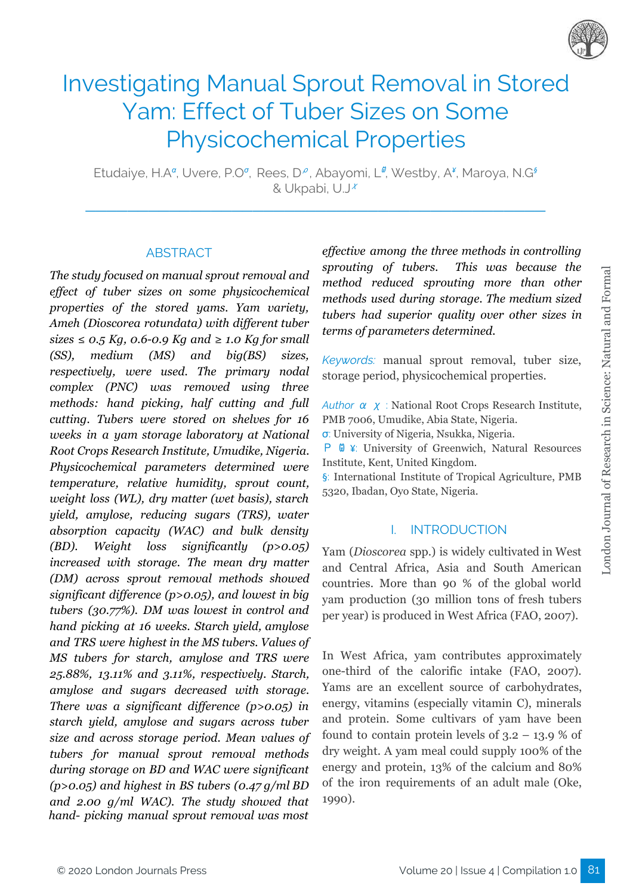

# Investigating Manual Sprout Removal in Stored Yam: Effect of Tuber Sizes on Some Physicochemical Properties

Etudaiye, H.A<sup>α</sup>, Uvere, P.O<sup>σ</sup>, Rees, D<sup>ρ</sup>, Abayomi, L<sup>ø</sup>, Westby, A<sup>¥</sup>, Maroya, N.G<sup>§</sup> & Ukpabi, U.J<sup>x</sup>

**\_\_\_\_\_\_\_\_\_\_\_\_\_\_\_\_\_\_\_\_\_\_\_\_\_\_\_\_\_\_\_\_\_\_\_\_\_\_\_\_\_\_\_\_**

#### ABSTRACT

*The study focused on manual sprout removal and ef ect of tuber sizes on some physicochemical properties of the stored yams. Yam variety, Ameh (Dioscorea rotundata) with dif erent tuber*  $sizes \leq 0.5$  *Kg,* 0.6-0.9 *Kg* and  $\geq 1.0$  *Kg* for small *(SS), medium (MS) and big(BS) sizes, respectively, were used. The primary nodal complex (PNC) was removed using three methods: hand picking, half cutting and full cutting. Tubers were stored on shelves for 16 weeks in a yam storage laboratory at National Root Crops Research Institute, Umudike, Nigeria. Physicochemical parameters determined were temperature, relative humidity, sprout count, weight loss (WL), dry matter (wet basis), starch yield, amylose, reducing sugars (TRS), water absorption capacity (WAC) and bulk density (BD). Weight loss significantly (p>0.05) increased with storage. The mean dry matter (DM) across sprout removal methods showed significant dif erence (p>0.05), and lowest in big tubers (30.77%). DM was lowest in control and hand picking at 16 weeks. Starch yield, amylose and TRS were highest in the MS tubers. Values of MS tubers for starch, amylose and TRS were 25.88%, 13.11% and 3.11%, respectively. Starch, amylose and sugars decreased with storage. There was a significant difference* (*p*>0.05) *in starch yield, amylose and sugars across tuber size and across storage period. Mean values of tubers for manual sprout removal methods during storage on BD and WAC were significant (p>0.05) and highest in BS tubers (0.47 g/ml BD and 2.00 g/ml WAC). The study showed that hand- picking manual sprout removal was most*

*ef ective among the three methods in controlling sprouting of tubers. This was because the method reduced sprouting more than other methods used during storage. The medium sized tubers had superior quality over other sizes in terms of parameters determined.*

*Keywords:* manual sprout removal, tuber size, storage period, physicochemical properties.

*Author* α χ : National Root Crops Research Institute, PMB 7006, Umudike, Abia State, Nigeria.

σ: University of Nigeria, Nsukka, Nigeria.

Ρ Ѡ ¥: University of Greenwich, Natural Resources Institute, Kent, United Kingdom.

§: International Institute of Tropical Agriculture, PMB 5320, Ibadan, Oyo State, Nigeria.

## I. INTRODUCTION

Yam (*Dioscorea* spp.) is widely cultivated in West and Central Africa, Asia and South American countries. More than 90 % of the global world yam production (30 million tons of fresh tubers per year) is produced in West Africa (FAO, 2007).

In West Africa, yam contributes approximately one-third of the calorific intake (FAO, 2007). Yams are an excellent source of carbohydrates, energy, vitamins (especially vitamin C), minerals and protein. Some cultivars of yam have been found to contain protein levels of  $3.2 - 13.9$  % of dry weight. A yam meal could supply 100% of the energy and protein, 13% of the calcium and 80% of the iron requirements of an adult male (Oke, 1990).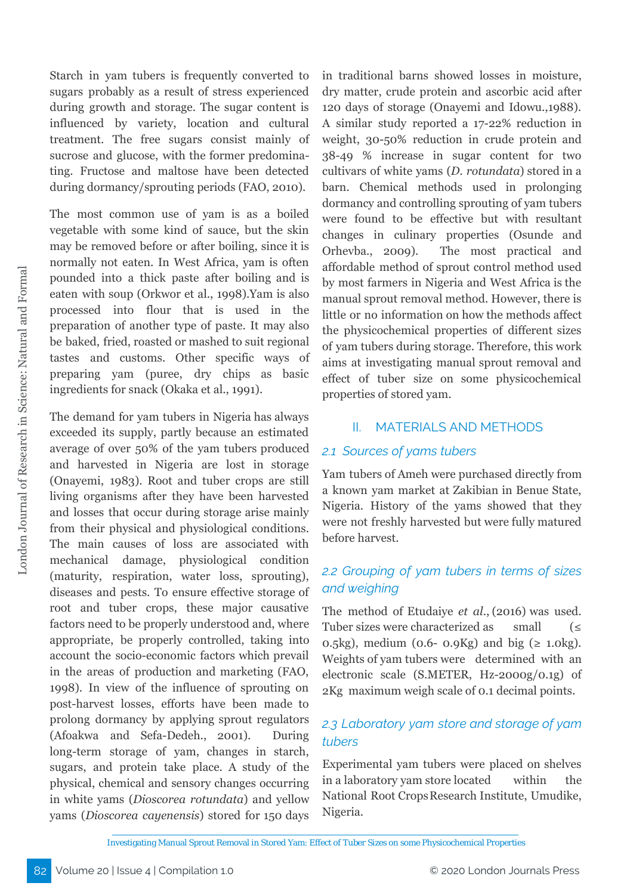Starch in yam tubers is frequently converted to sugars probably as a result of stress experienced during growth and storage. The sugar content is influenced by variety, location and cultural treatment. The free sugars consist mainly of sucrose and glucose, with the former predominating. Fructose and maltose have been detected during dormancy/sprouting periods (FAO, 2010).

The most common use of yam is as a boiled vegetable with some kind of sauce, but the skin may be removed before or after boiling, since it is normally not eaten. In West Africa, yam is often pounded into a thick paste after boiling and is eaten with soup (Orkwor et al., 1998).Yam is also processed into flour that is used in the preparation of another type of paste. It may also be baked, fried, roasted or mashed to suit regional tastes and customs. Other specific ways of preparing yam (puree, dry chips as basic ingredients for snack (Okaka et al., 1991).

The demand for yam tubers in Nigeria has always exceeded its supply, partly because an estimated average of over 50% of the yam tubers produced and harvested in Nigeria are lost in storage (Onayemi, 1983). Root and tuber crops are still living organisms after they have been harvested and losses that occur during storage arise mainly from their physical and physiological conditions. The main causes of loss are associated with mechanical damage, physiological condition (maturity, respiration, water loss, sprouting), diseases and pests. To ensure effective storage of root and tuber crops, these major causative factors need to be properly understood and, where appropriate, be properly controlled, taking into account the socio-economic factors which prevail in the areas of production and marketing (FAO, 1998). In view of the influence of sprouting on post-harvest losses, efforts have been made to prolong dormancy by applying sprout regulators (Afoakwa and Sefa-Dedeh., 2001). During long-term storage of yam, changes in starch, sugars, and protein take place. A study of the physical, chemical and sensory changes occurring in white yams (*Dioscorea rotundata*) and yellow yams (*Dioscorea cayenensis*) stored for 150 days

in traditional barns showed losses in moisture, dry matter, crude protein and ascorbic acid after 120 days of storage (Onayemi and Idowu.,1988). A similar study reported a 17-22% reduction in weight, 30-50% reduction in crude protein and 38-49 % increase in sugar content for two cultivars of white yams (*D. rotundata*) stored in a barn. Chemical methods used in prolonging dormancy and controlling sprouting of yam tubers were found to be effective but with resultant changes in culinary properties (Osunde and Orhevba., 2009). The most practical and affordable method of sprout control method used by most farmers in Nigeria and West Africa is the manual sprout removal method. However, there is little or no information on how the methods affect the physicochemical properties of different sizes of yam tubers during storage. Therefore, this work aims at investigating manual sprout removal and effect of tuber size on some physicochemical properties of stored yam.

## II. MATERIALS AND METHODS

#### *2.1 Sources of yams tubers*

Yam tubers of Ameh were purchased directly from a known yam market at Zakibian in Benue State, Nigeria. History of the yams showed that they were not freshly harvested but were fully matured before harvest.

# *2.2 Grouping of yam tubers in terms of sizes and weighing*

The method of Etudaiye *et al*., (2016) was used. Tuber sizes were characterized as small  $(\leq$ 0.5kg), medium (0.6- 0.9Kg) and big  $(\geq 1.0 \text{kg})$ . Weights of yam tubers were determined with an electronic scale (S.METER, Hz-2000g/0.1g) of 2Kg maximum weigh scale of 0.1 decimal points.

# *2.3 Laboratory yam store and storage of yam tubers*

Experimental yam tubers were placed on shelves in a laboratory yam store located within the National Root CropsResearch Institute, Umudike, Nigeria.

Investigating Manual Sprout Removal in Stored Yam: Effect of Tuber Sizes on some Physicochemical Properties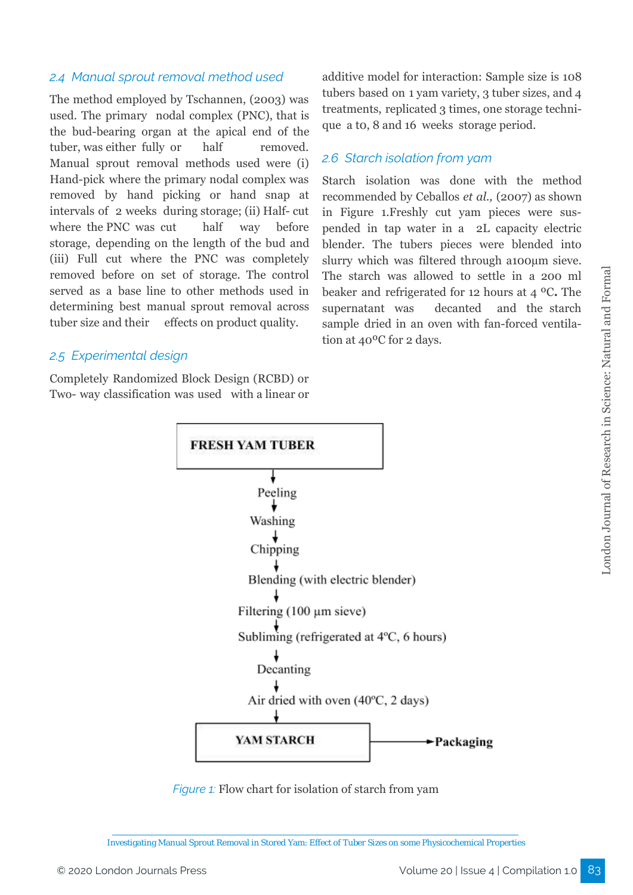## *2.4 Manual sprout removal method used*

The method employed by Tschannen, (2003) was used. The primary nodal complex (PNC), that is the bud-bearing organ at the apical end of the tuber, was either fully or half removed. Manual sprout removal methods used were (i) Hand-pick where the primary nodal complex was removed by hand picking or hand snap at intervals of 2 weeks during storage; (ii) Half- cut where the PNC was cut half way before storage, depending on the length of the bud and (iii) Full cut where the PNC was completely removed before on set of storage. The control served as a base line to other methods used in determining best manual sprout removal across tuber size and their effects on product quality.

#### *2.5 Experimental design*

Completely Randomized Block Design (RCBD) or Two- way classification was used with a linear or additive model for interaction: Sample size is 108 tubers based on 1 yam variety, 3 tuber sizes, and 4 treatments, replicated 3 times, one storage technique a t0, 8 and 16 weeks storage period.

## *2.6 Starch isolation from yam*

Starch isolation was done with the method recommended by Ceballos *et al.,* (2007) as shown in Figure 1.Freshly cut yam pieces were suspended in tap water in a 2L capacity electric blender. The tubers pieces were blended into slurry which was filtered through a100µm sieve. The starch was allowed to settle in a 200 ml beaker and refrigerated for 12 hours at 4 ºC**.** The supernatant was decanted and the starch sample dried in an oven with fan-forced ventilation at 40ºC for 2 days.



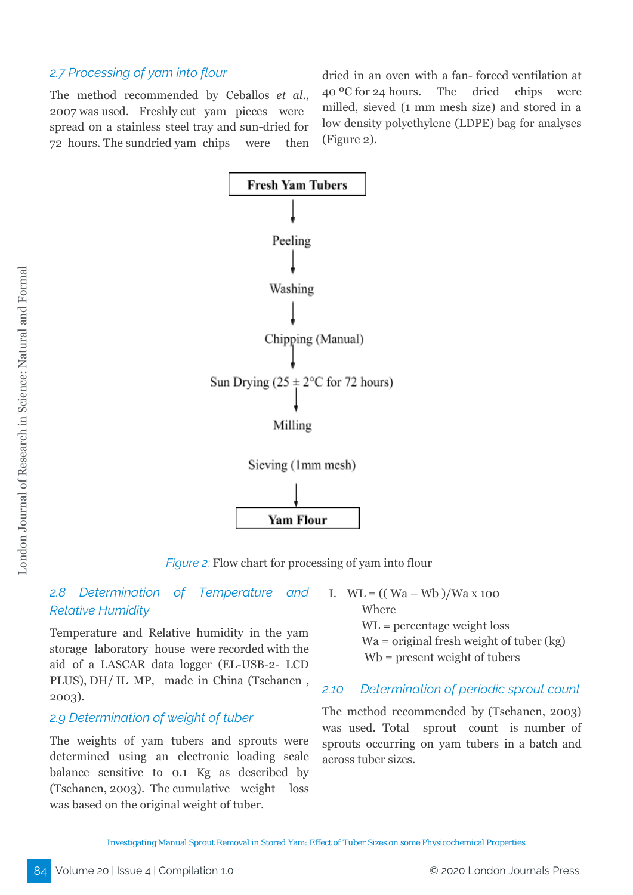## *2.7 Processing of yam into flour*

The method recommended by Ceballos *et al*., 2007 was used. Freshly cut yam pieces were spread on a stainless steel tray and sun-dried for 72 hours. The sundried yam chips were then

dried in an oven with a fan- forced ventilation at 40 ºC for 24 hours. The dried chips were milled, sieved (1 mm mesh size) and stored in a low density polyethylene (LDPE) bag for analyses (Figure 2).



*Figure 2:* Flow chart for processing of yam into flour

## *2.8 Determination of Temperature and Relative Humidity*

Temperature and Relative humidity in the yam storage laboratory house were recorded with the aid of a LASCAR data logger (EL-USB-2- LCD PLUS), DH/ IL MP, made in China (Tschanen *,* 2003).

#### *2.9 Determination of weight of tuber*

The weights of yam tubers and sprouts were determined using an electronic loading scale balance sensitive to 0.1 Kg as described by (Tschanen, 2003). The cumulative weight loss was based on the original weight of tuber.

I.  $WL = (( Wa - Wb) / Wa x 100$ Where WL = percentage weight loss Wa = original fresh weight of tuber (kg) Wb = present weight of tubers

#### *2.10 Determination of periodic sprout count*

The method recommended by (Tschanen, 2003) was used. Total sprout count is number of sprouts occurring on yam tubers in a batch and across tuber sizes.

Investigating Manual Sprout Removal in Stored Yam: Effect of Tuber Sizes on some Physicochemical Properties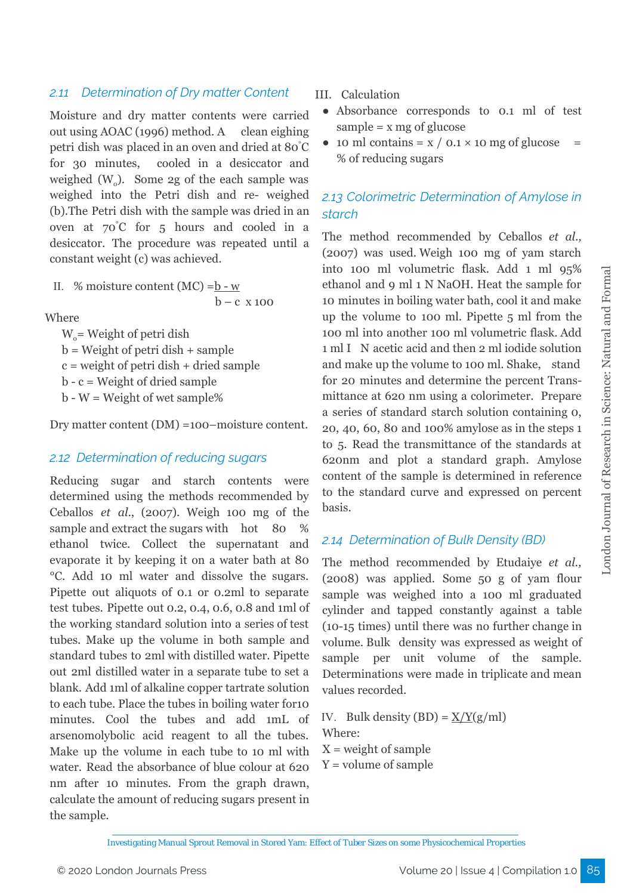## *2.11 Determination of Dry matter Content*

Moisture and dry matter contents were carried out using AOAC (1996) method. A clean eighing petri dish was placed in an oven and dried at 80 °C for 30 minutes, cooled in a desiccator and weighed  $(W_0)$ . Some 2g of the each sample was weighed into the Petri dish and re- weighed (b).The Petri dish with the sample was dried in an oven at 70 °C for 5 hours and cooled in a desiccator. The procedure was repeated until a constant weight (c) was achieved.

II. % moisture content (MC) =
$$
\frac{b - w}{b - c}
$$
 x 100

Where

 $W<sub>o</sub>$  = Weight of petri dish  $b = Weight of petri dish + sample$  $c = weight of petri dish + dried sample$  $b - c = Weight of dried sample$  $b - W = Weight of wet sample%$ 

Dry matter content (DM) =100–moisture content.

#### *2.12 Determination of reducing sugars*

Reducing sugar and starch contents were determined using the methods recommended by Ceballos *et al*., (2007). Weigh 100 mg of the sample and extract the sugars with hot 80 % ethanol twice. Collect the supernatant and evaporate it by keeping it on a water bath at 80 °C. Add 10 ml water and dissolve the sugars. Pipette out aliquots of 0.1 or 0.2ml to separate test tubes. Pipette out 0.2, 0.4, 0.6, 0.8 and 1ml of the working standard solution into a series of test tubes. Make up the volume in both sample and standard tubes to 2ml with distilled water. Pipette out 2ml distilled water in a separate tube to set a blank. Add 1ml of alkaline copper tartrate solution to each tube. Place the tubes in boiling water for10 minutes. Cool the tubes and add 1mL of arsenomolybolic acid reagent to all the tubes. Make up the volume in each tube to 10 ml with water. Read the absorbance of blue colour at 620 nm after 10 minutes. From the graph drawn, calculate the amount of reducing sugars present in the sample.

III. Calculation

- Absorbance corresponds to 0.1 ml of test  $sample = x mg of glucose$
- $\bullet$  10 ml contains = x / 0.1 × 10 mg of glucose % of reducing sugars

# *2.13 Colorimetric Determination of Amylose in starch*

The method recommended by Ceballos *et al.,* (2007) was used. Weigh 100 mg of yam starch into 100 ml volumetric flask. Add 1 ml 95% ethanol and 9 ml 1 N NaOH. Heat the sample for 10 minutes in boiling water bath, cool it and make up the volume to 100 ml. Pipette 5 ml from the 100 ml into another 100 ml volumetric flask. Add 1 ml I N acetic acid and then 2 ml iodide solution and make up the volume to 100 ml. Shake, stand for 20 minutes and determine the percent Transmittance at 620 nm using a colorimeter. Prepare a series of standard starch solution containing 0, 20, 40, 60, 80 and 100% amylose as in the steps 1 to 5. Read the transmittance of the standards at 620nm and plot a standard graph. Amylose content of the sample is determined in reference to the standard curve and expressed on percent basis.

#### *2.14 Determination of Bulk Density (BD)*

The method recommended by Etudaiye *et al.,* (2008) was applied. Some 50 g of yam flour sample was weighed into a 100 ml graduated cylinder and tapped constantly against a table (10-15 times) until there was no further change in volume. Bulk density was expressed as weight of sample per unit volume of the sample. Determinations were made in triplicate and mean values recorded.

IV. Bulk density  $(BD) = \frac{X}{Y(g/ml)}$ Where:  $X = weight of sample$  $Y =$  volume of sample

Investigating Manual Sprout Removal in Stored Yam: Effect of Tuber Sizes on some Physicochemical Properties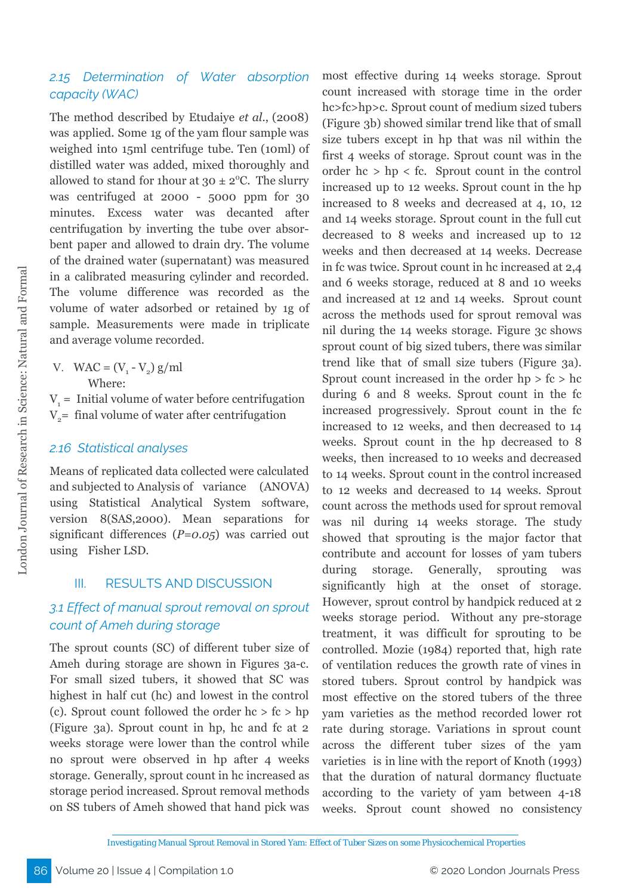## *2.15 Determination of Water absorption capacity (WAC)*

The method described by Etudaiye *et al*., (2008) was applied. Some 1g of the yam flour sample was weighed into 15ml centrifuge tube. Ten (10ml) of distilled water was added, mixed thoroughly and allowed to stand for 1hour at  $30 \pm 2$ °C. The slurry was centrifuged at 2000 - 5000 ppm for 30 minutes. Excess water was decanted after centrifugation by inverting the tube over absorbent paper and allowed to drain dry. The volume of the drained water (supernatant) was measured in a calibrated measuring cylinder and recorded. The volume difference was recorded as the volume of water adsorbed or retained by 1g of sample. Measurements were made in triplicate and average volume recorded.

V. WAC =  $(V_1 - V_2)$  g/ml Where:

 $V_1$  = Initial volume of water before centrifugation  $V<sub>2</sub>=$  final volume of water after centrifugation

#### *2.16 Statistical analyses*

Means of replicated data collected were calculated and subjected to Analysis of variance (ANOVA) using Statistical Analytical System software, version 8(SAS,2000). Mean separations for significant differences (*P=0.05*) was carried out using Fisher LSD.

#### III. RESULTS AND DISCUSSION

# *3.1 Effect of manual sprout removal on sprout count of Ameh during storage*

The sprout counts (SC) of different tuber size of Ameh during storage are shown in Figures 3a-c. For small sized tubers, it showed that SC was highest in half cut (hc) and lowest in the control (c). Sprout count followed the order hc > fc > hp (Figure 3a). Sprout count in hp, hc and fc at 2 weeks storage were lower than the control while no sprout were observed in hp after 4 weeks storage. Generally, sprout count in hc increased as storage period increased. Sprout removal methods on SS tubers of Ameh showed that hand pick was

most effective during 14 weeks storage. Sprout count increased with storage time in the order hc>fc>hp>c. Sprout count of medium sized tubers (Figure 3b) showed similar trend like that of small size tubers except in hp that was nil within the first 4 weeks of storage. Sprout count was in the order  $hc > hp < fc.$  Sprout count in the control increased up to 12 weeks. Sprout count in the hp increased to 8 weeks and decreased at 4, 10, 12 and 14 weeks storage. Sprout count in the full cut decreased to 8 weeks and increased up to 12 weeks and then decreased at 14 weeks. Decrease in fc was twice. Sprout count in hc increased at 2,4 and 6 weeks storage, reduced at 8 and 10 weeks and increased at 12 and 14 weeks. Sprout count across the methods used for sprout removal was nil during the 14 weeks storage. Figure 3c shows sprout count of big sized tubers, there was similar trend like that of small size tubers (Figure 3a). Sprout count increased in the order  $hp > fc > hc$ during 6 and 8 weeks. Sprout count in the fc increased progressively. Sprout count in the fc increased to 12 weeks, and then decreased to 14 weeks. Sprout count in the hp decreased to 8 weeks, then increased to 10 weeks and decreased to 14 weeks. Sprout count in the control increased to 12 weeks and decreased to 14 weeks. Sprout count across the methods used for sprout removal was nil during 14 weeks storage. The study showed that sprouting is the major factor that contribute and account for losses of yam tubers during storage. Generally, sprouting was significantly high at the onset of storage. However, sprout control by handpick reduced at 2 weeks storage period. Without any pre-storage treatment, it was difficult for sprouting to be controlled. Mozie (1984) reported that, high rate of ventilation reduces the growth rate of vines in stored tubers. Sprout control by handpick was most effective on the stored tubers of the three yam varieties as the method recorded lower rot rate during storage. Variations in sprout count across the different tuber sizes of the yam varieties is in line with the report of Knoth (1993) that the duration of natural dormancy fluctuate according to the variety of yam between 4-18 weeks. Sprout count showed no consistency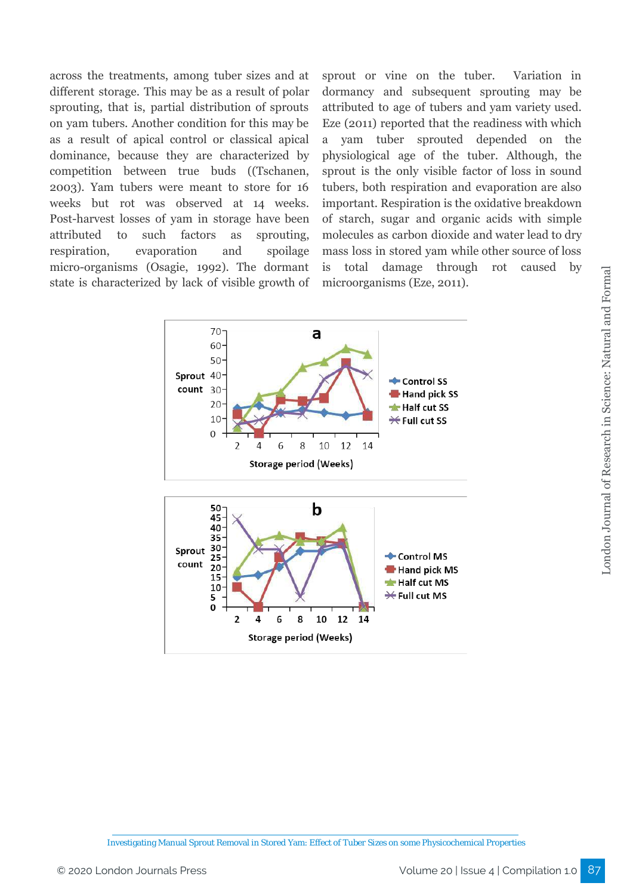across the treatments, among tuber sizes and at different storage. This may be as a result of polar sprouting, that is, partial distribution of sprouts on yam tubers. Another condition for this may be as a result of apical control or classical apical dominance, because they are characterized by competition between true buds ((Tschanen, 2003). Yam tubers were meant to store for 16 weeks but rot was observed at 14 weeks. Post-harvest losses of yam in storage have been attributed to such factors as sprouting, respiration, evaporation and spoilage micro-organisms (Osagie, 1992). The dormant state is characterized by lack of visible growth of

sprout or vine on the tuber. Variation in dormancy and subsequent sprouting may be attributed to age of tubers and yam variety used. Eze (2011) reported that the readiness with which a yam tuber sprouted depended on the physiological age of the tuber. Although, the sprout is the only visible factor of loss in sound tubers, both respiration and evaporation are also important. Respiration is the oxidative breakdown of starch, sugar and organic acids with simple molecules as carbon dioxide and water lead to dry mass loss in stored yam while other source of loss is total damage through rot caused by microorganisms (Eze, 2011).

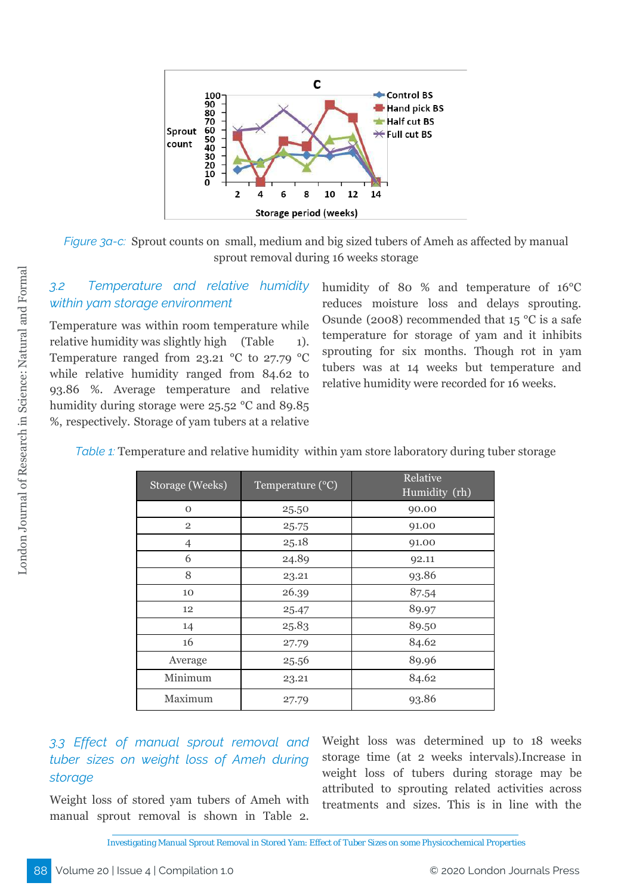

*Figure* 3*a-c*: Sprout counts on small, medium and big sized tubers of Ameh as affected by manual sprout removal during 16 weeks storage

*3.2 Temperature and relative humidity within yam storage environment*

Temperature was within room temperature while relative humidity was slightly high (Table 1). Temperature ranged from 23.21  $\degree$ C to 27.79  $\degree$ C while relative humidity ranged from 84.62 to 93.86 %. Average temperature and relative humidity during storage were 25.52 °C and 89.85 %, respectively. Storage of yam tubers at a relative

humidity of 80 % and temperature of 16°C reduces moisture loss and delays sprouting. Osunde (2008) recommended that  $15^{\circ}$ C is a safe temperature for storage of yam and it inhibits sprouting for six months. Though rot in yam tubers was at 14 weeks but temperature and relative humidity were recorded for 16 weeks.

| Storage (Weeks) | Temperature (°C) | Relative<br>Humidity (rh) |
|-----------------|------------------|---------------------------|
| $\mathbf{O}$    | 25.50            | 90.00                     |
| $\overline{2}$  | 25.75            | 91.00                     |
| $\overline{4}$  | 25.18            | 91.00                     |
| 6               | 24.89            | 92.11                     |
| 8               | 23.21            | 93.86                     |
| 10              | 26.39            | 87.54                     |
| 12              | 25.47            | 89.97                     |
| 14              | 25.83            | 89.50                     |
| 16              | 27.79            | 84.62                     |
| Average         | 25.56            | 89.96                     |
| Minimum         | 23.21            | 84.62                     |
| Maximum         | 27.79            | 93.86                     |

*Table 1:* Temperature and relative humidity within yam store laboratory during tuber storage

*3.3 Effect of manual sprout removal and tuber sizes on weight loss of Ameh during storage*

Weight loss of stored yam tubers of Ameh with manual sprout removal is shown in Table 2. Weight loss was determined up to 18 weeks storage time (at 2 weeks intervals).Increase in weight loss of tubers during storage may be attributed to sprouting related activities across treatments and sizes. This is in line with the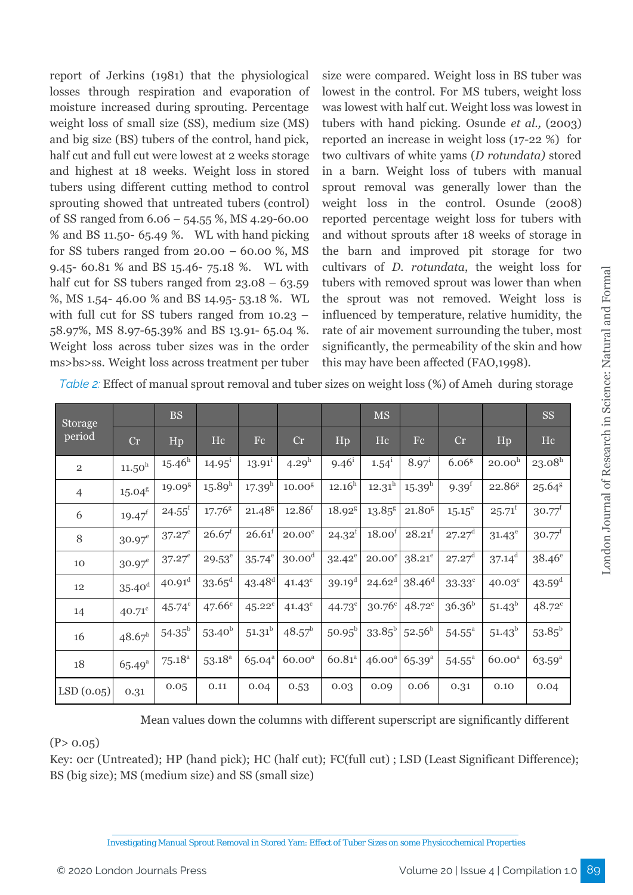report of Jerkins (1981) that the physiological losses through respiration and evaporation of moisture increased during sprouting. Percentage weight loss of small size (SS), medium size (MS) and big size (BS) tubers of the control, hand pick, half cut and full cut were lowest at 2 weeks storage and highest at 18 weeks. Weight loss in stored tubers using different cutting method to control sprouting showed that untreated tubers (control) of SS ranged from 6.06 – 54.55 %, MS 4.29-60.00 % and BS 11.50- 65.49 %. WL with hand picking for SS tubers ranged from  $20.00 - 60.00 %$ , MS 9.45- 60.81 % and BS 15.46- 75.18 %. WL with half cut for SS tubers ranged from  $23.08 - 63.59$ %, MS 1.54- 46.00 % and BS 14.95- 53.18 %. WL with full cut for SS tubers ranged from 10.23 – 58.97%, MS 8.97-65.39% and BS 13.91- 65.04 %. Weight loss across tuber sizes was in the order ms>bs>ss. Weight loss across treatment per tuber

size were compared. Weight loss in BS tuber was lowest in the control. For MS tubers, weight loss was lowest with half cut. Weight loss was lowest in tubers with hand picking. Osunde *et al.,* (2003) reported an increase in weight loss (17-22 %) for two cultivars of white yams (*D rotundata)* stored in a barn. Weight loss of tubers with manual sprout removal was generally lower than the weight loss in the control. Osunde (2008) reported percentage weight loss for tubers with and without sprouts after 18 weeks of storage in the barn and improved pit storage for two cultivars of *D. rotundata*, the weight loss for tubers with removed sprout was lower than when the sprout was not removed. Weight loss is influenced by temperature, relative humidity, the rate of air movement surrounding the tuber, most significantly, the permeability of the skin and how this may have been affected (FAO,1998).

| Storage        |                    | <b>BS</b>          |                      |                      |                    |                 | $\overline{\rm MS}$ |                 |                   |                    | <b>SS</b>            |
|----------------|--------------------|--------------------|----------------------|----------------------|--------------------|-----------------|---------------------|-----------------|-------------------|--------------------|----------------------|
| perio <u>d</u> | Cr                 | Hp                 | Hc                   | $\rm{Fc}$            | Cr                 | Hp              | Hc                  | Fc              | Cr                | Hp                 | Hc                   |
| $\overline{2}$ | $11.50^h$          | $15.46^h$          | $14.95^{\circ}$      | $13.91^{\rm i}$      | 4.29 <sup>h</sup>  | $9.46^{\rm i}$  | $1.54^{\rm i}$      | $8.97^{\rm i}$  | 6.06 <sup>8</sup> | 20.00 <sup>h</sup> | $23.08^h$            |
| $\overline{4}$ | $15.04^8$          | 19.09 <sup>g</sup> | $15.89^h$            | $17.39^h$            | 10.00 <sup>8</sup> | $12.16^h$       | $12.31^h$           | $15.39^h$       | 9.39 <sup>f</sup> | 22.86 <sup>g</sup> | $25.64^8$            |
| 6              | $19.47^f$          | $24.55^f$          | 17.76 <sup>8</sup>   | $21.48$ <sup>g</sup> | $12.86^f$          | $18.92^{8}$     | $13.85^{\rm g}$     | $21.80^{8}$     | $15.15^e$         | $25.71^{\rm f}$    | $30.77^f$            |
| 8              | $30.97^e$          | $37.27^e$          | $26.67$ <sup>f</sup> | $26.61^t$            | $20.00^e$          | $24.32^{t}$     | 18.00 <sup>f</sup>  | $28.21^{f}$     | $27.27^d$         | $31.43^e$          | $30.77^t$            |
| 10             | $30.97^e$          | $37.27^e$          | $29.53^e$            | $35.74^e$            | 30.00 <sup>d</sup> | $32.42^e$       | $20.00^e$           | $38.21^e$       | $27.27^d$         | $37.14^d$          | $38.46^{\circ}$      |
| 12             | 35.40 <sup>d</sup> | $40.91^{\rm d}$    | $33.65^{\rm d}$      | $43.48^{d}$          | $41.43^{\circ}$    | $39.19^{\rm d}$ | $24.62^d$           | $38.46^{\rm d}$ | $33.33^c$         | $40.03^{\circ}$    | $43.59$ <sup>d</sup> |
| 14             | $40.71^{\circ}$    | $45.74^{\circ}$    | 47.66c               | $45.22^c$            | $41.43^c$          | $44.73^{\circ}$ | $30.76^{\circ}$     | $48.72^c$       | $36.36^{b}$       | $51.43^{b}$        | $48.72^c$            |
| 16             | $48.67^b$          | $54.35^{\rm b}$    | $53.40^{b}$          | $51.31^b$            | $48.57^b$          | $50.95^b$       | $33.85^{\rm b}$     | $52.56^{\rm b}$ | $54.55^{\circ}$   | $51.43^b$          | $53.85^{\rm b}$      |
| 18             | $65.49^{a}$        | $75.18^{\rm a}$    | $53.18^{\circ}$      | 65.04 <sup>a</sup>   | 60.00 <sup>a</sup> | $60.81^{a}$     | 46.00 <sup>a</sup>  | $65.39^{a}$     | $54.55^{\circ}$   | 60.00 <sup>a</sup> | $63.59^{a}$          |
| LSD(0.05)      | 0.31               | 0.05               | 0.11                 | 0.04                 | 0.53               | 0.03            | 0.09                | 0.06            | 0.31              | 0.10               | 0.04                 |

*Table 2:* Effect of manual sprout removal and tuber sizes on weight loss (%) of Ameh during storage

Mean values down the columns with different superscript are significantly different

## $(P> 0.05)$

Key: 0cr (Untreated); HP (hand pick); HC (half cut); FC(full cut) ; LSD (Least Significant Difference); BS (big size); MS (medium size) and SS (small size)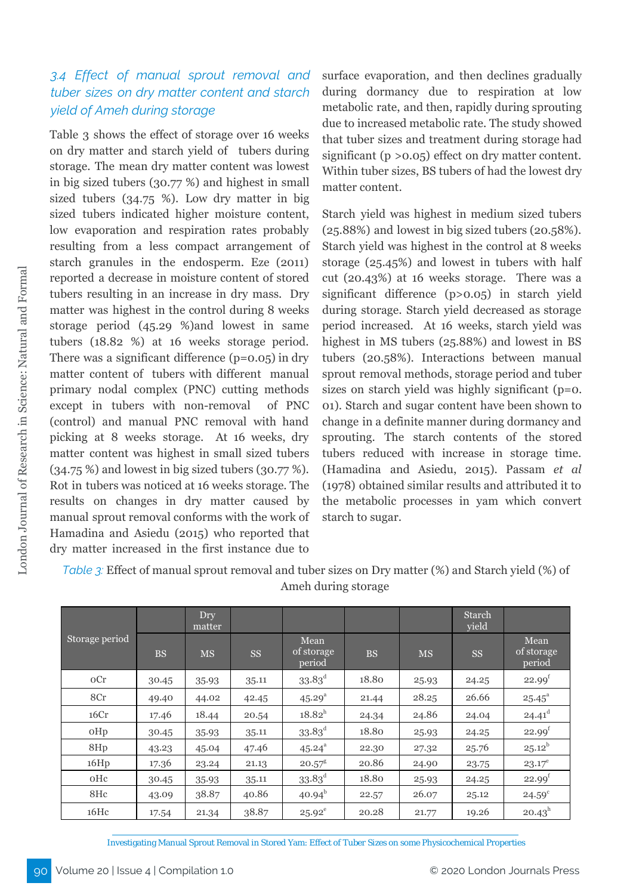# *3.4 Effect of manual sprout removal and tuber sizes on dry matter content and starch yield of Ameh during storage*

Table 3 shows the effect of storage over 16 weeks on dry matter and starch yield of tubers during storage. The mean dry matter content was lowest in big sized tubers (30.77 %) and highest in small sized tubers (34.75 %). Low dry matter in big sized tubers indicated higher moisture content, low evaporation and respiration rates probably resulting from a less compact arrangement of starch granules in the endosperm. Eze (2011) reported a decrease in moisture content of stored tubers resulting in an increase in dry mass. Dry matter was highest in the control during 8 weeks storage period (45.29 %)and lowest in same tubers (18.82 %) at 16 weeks storage period. There was a significant difference  $(p=0.05)$  in dry matter content of tubers with different manual primary nodal complex (PNC) cutting methods except in tubers with non-removal of PNC (control) and manual PNC removal with hand picking at 8 weeks storage. At 16 weeks, dry matter content was highest in small sized tubers (34.75 %) and lowest in big sized tubers (30.77 %). Rot in tubers was noticed at 16 weeks storage. The results on changes in dry matter caused by manual sprout removal conforms with the work of Hamadina and Asiedu (2015) who reported that dry matter increased in the first instance due to

surface evaporation, and then declines gradually during dormancy due to respiration at low metabolic rate, and then, rapidly during sprouting due to increased metabolic rate. The study showed that tuber sizes and treatment during storage had significant (p >0.05) effect on dry matter content. Within tuber sizes, BS tubers of had the lowest dry matter content.

Starch yield was highest in medium sized tubers (25.88%) and lowest in big sized tubers (20.58%). Starch yield was highest in the control at 8 weeks storage (25.45%) and lowest in tubers with half cut (20.43%) at 16 weeks storage. There was a significant difference (p>0.05) in starch yield during storage. Starch yield decreased as storage period increased. At 16 weeks, starch yield was highest in MS tubers (25.88%) and lowest in BS tubers (20.58%). Interactions between manual sprout removal methods, storage period and tuber sizes on starch yield was highly significant (p=0. 01). Starch and sugar content have been shown to change in a definite manner during dormancy and sprouting. The starch contents of the stored tubers reduced with increase in storage time. (Hamadina and Asiedu, 2015). Passam *et al* (1978) obtained similar results and attributed it to the metabolic processes in yam which convert starch to sugar.

|                |           | Dry<br>matter |           |                              |           |           | Starch<br>yield |                              |
|----------------|-----------|---------------|-----------|------------------------------|-----------|-----------|-----------------|------------------------------|
| Storage period | <b>BS</b> | <b>MS</b>     | <b>SS</b> | Mean<br>of storage<br>period | <b>BS</b> | <b>MS</b> | <b>SS</b>       | Mean<br>of storage<br>period |
| oCr            | 30.45     | 35.93         | 35.11     | $33.83^{\rm d}$              | 18.80     | 25.93     | 24.25           | 22.99 <sup>f</sup>           |
| 8Cr            | 49.40     | 44.02         | 42.45     | 45.29 <sup>a</sup>           | 21.44     | 28.25     | 26.66           | $25.45^{\circ}$              |
| 16Cr           | 17.46     | 18.44         | 20.54     | $18.82^{h}$                  | 24.34     | 24.86     | 24.04           | $24.41^d$                    |
| oHp            | 30.45     | 35.93         | 35.11     | $33.83^{\rm d}$              | 18.80     | 25.93     | 24.25           | 22.99 <sup>f</sup>           |
| 8Hp            | 43.23     | 45.04         | 47.46     | $45.24^{a}$                  | 22.30     | 27.32     | 25.76           | $25.12^{b}$                  |
| 16Hp           | 17.36     | 23.24         | 21.13     | $20.57^8$                    | 20.86     | 24.90     | 23.75           | $23.17^e$                    |
| oHc            | 30.45     | 35.93         | 35.11     | $33.83^{\rm d}$              | 18.80     | 25.93     | 24.25           | $22.99^{t}$                  |
| 8Hc            | 43.09     | 38.87         | 40.86     | $40.94^{b}$                  | 22.57     | 26.07     | 25.12           | $24.59^{\circ}$              |
| 16Hc           | 17.54     | 21.34         | 38.87     | $25.92^e$                    | 20.28     | 21.77     | 19.26           | $20.43^h$                    |

*Table 3:* Effect of manual sprout removal and tuber sizes on Dry matter (%) and Starch yield (%) of Ameh during storage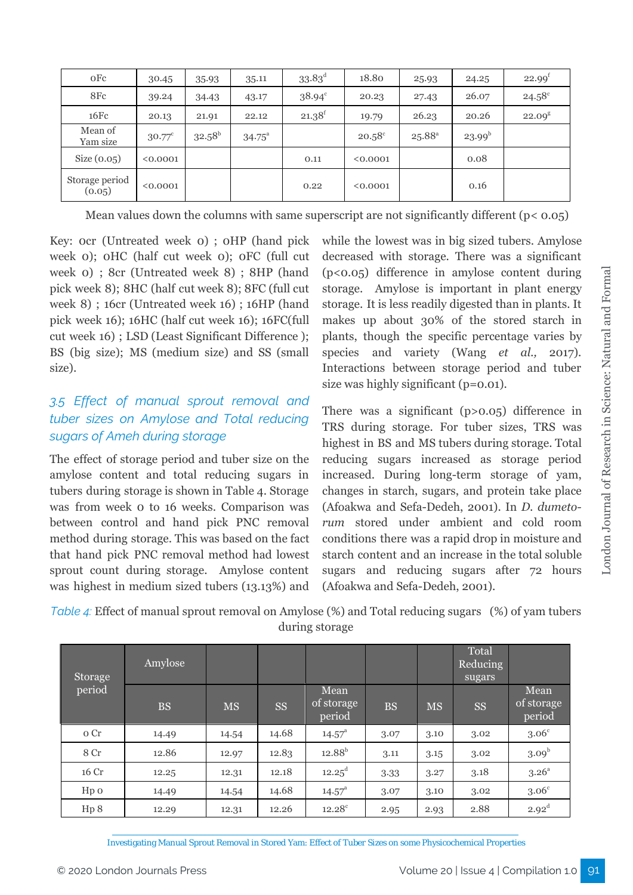| oFe                      | 30.45           | 35.93           | 35.11           | $33.83^{\rm d}$ | 18.80           | 25.93           | 24.25       | 22.99 <sup>f</sup> |
|--------------------------|-----------------|-----------------|-----------------|-----------------|-----------------|-----------------|-------------|--------------------|
| 8Fc                      | 39.24           | 34.43           | 43.17           | $38.94^{\circ}$ | 20.23           | 27.43           | 26.07       | $24.58^{\circ}$    |
| 16Fc                     | 20.13           | 21.91           | 22.12           | $21.38^{f}$     | 19.79           | 26.23           | 20.26       | $22.09^8$          |
| Mean of<br>Yam size      | $30.77^{\circ}$ | $32.58^{\rm b}$ | $34.75^{\circ}$ |                 | $20.58^{\circ}$ | $25.88^{\rm a}$ | $23.99^{b}$ |                    |
| Size $(0.05)$            | < 0.0001        |                 |                 | 0.11            | < 0.0001        |                 | 0.08        |                    |
| Storage period<br>(0.05) | < 0.0001        |                 |                 | 0.22            | < 0.0001        |                 | 0.16        |                    |

Mean values down the columns with same superscript are not significantly different ( $p < 0.05$ )

Key: 0cr (Untreated week 0) ; 0HP (hand pick week 0); 0HC (half cut week 0); 0FC (full cut week 0) ; 8cr (Untreated week 8) ; 8HP (hand pick week 8); 8HC (half cut week 8); 8FC (full cut week 8) ; 16cr (Untreated week 16) ; 16HP (hand pick week 16); 16HC (half cut week 16); 16FC(full cut week 16) ; LSD (Least Significant Difference ); BS (big size); MS (medium size) and SS (small size).

# *3.5 Effect of manual sprout removal and tuber sizes on Amylose and Total reducing sugars of Ameh during storage*

The effect of storage period and tuber size on the amylose content and total reducing sugars in tubers during storage is shown in Table 4. Storage was from week 0 to 16 weeks. Comparison was between control and hand pick PNC removal method during storage. This was based on the fact that hand pick PNC removal method had lowest sprout count during storage. Amylose content was highest in medium sized tubers (13.13%) and while the lowest was in big sized tubers. Amylose decreased with storage. There was a significant (p<0.05) difference in amylose content during storage. Amylose is important in plant energy storage. It is less readily digested than in plants. It makes up about 30% of the stored starch in plants, though the specific percentage varies by species and variety (Wang *et al.,* 2017). Interactions between storage period and tuber size was highly significant (p=0.01).

There was a significant (p>0.05) difference in TRS during storage. For tuber sizes, TRS was highest in BS and MS tubers during storage. Total reducing sugars increased as storage period increased. During long-term storage of yam, changes in starch, sugars, and protein take place (Afoakwa and Sefa-Dedeh, 2001). In *D. dumetorum* stored under ambient and cold room conditions there was a rapid drop in moisture and starch content and an increase in the total soluble sugars and reducing sugars after 72 hours (Afoakwa and Sefa-Dedeh, 2001).

*Table 4:* Effect of manual sprout removal on Amylose (%) and Total reducing sugars (%) of yam tubers during storage

| Storage          | Amylose   |           |           |                              |           |           | Total<br>Reducing<br>sugars |                              |
|------------------|-----------|-----------|-----------|------------------------------|-----------|-----------|-----------------------------|------------------------------|
| period           | <b>BS</b> | <b>MS</b> | <b>SS</b> | Mean<br>of storage<br>period | <b>BS</b> | <b>MS</b> | <b>SS</b>                   | Mean<br>of storage<br>period |
| o Cr             | 14.49     | 14.54     | 14.68     | $14.57^{\circ}$              | 3.07      | 3.10      | 3.02                        | 3.06 <sup>c</sup>            |
| 8 Cr             | 12.86     | 12.97     | 12.83     | $12.88^{b}$                  | 3.11      | 3.15      | 3.02                        | 3.09 <sup>b</sup>            |
| 16 Cr            | 12.25     | 12.31     | 12.18     | $12.25^{\rm d}$              | 3.33      | 3.27      | 3.18                        | $3.26^{\circ}$               |
| H <sub>p</sub> o | 14.49     | 14.54     | 14.68     | $14.57^{\circ}$              | 3.07      | 3.10      | 3.02                        | 3.06 <sup>c</sup>            |
| Hp 8             | 12.29     | 12.31     | 12.26     | $12.28^{\circ}$              | 2.95      | 2.93      | 2.88                        | $2.92^d$                     |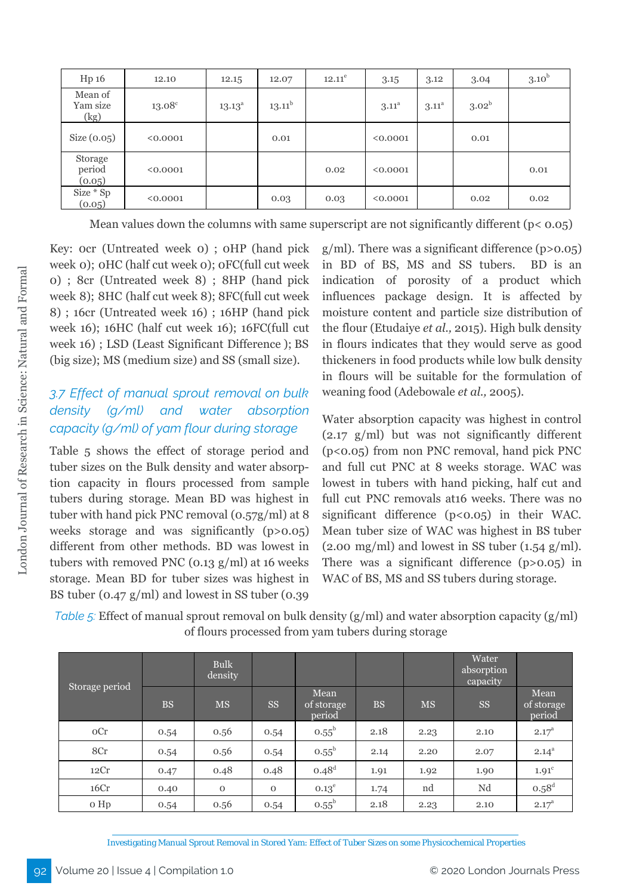| Hp 16                       | 12.10           | 12.15           | 12.07           | $12.11^e$ | 3.15              | 3.12              | 3.04              | 3.10 <sup>b</sup> |
|-----------------------------|-----------------|-----------------|-----------------|-----------|-------------------|-------------------|-------------------|-------------------|
| Mean of<br>Yam size<br>(kg) | $13.08^{\circ}$ | $13.13^{\circ}$ | $13.11^{\rm b}$ |           | 3.11 <sup>a</sup> | 3.11 <sup>a</sup> | 3.02 <sup>b</sup> |                   |
| Size $(0.05)$               | < 0.0001        |                 | 0.01            |           | < 0.0001          |                   | 0.01              |                   |
| Storage<br>period<br>(0.05) | < 0.0001        |                 |                 | 0.02      | < 0.0001          |                   |                   | 0.01              |
| Size * Sp<br>(0.05)         | < 0.0001        |                 | 0.03            | 0.03      | < 0.0001          |                   | 0.02              | 0.02              |

Mean values down the columns with same superscript are not significantly different  $(p < 0.05)$ 

Key: 0cr (Untreated week 0) ; 0HP (hand pick week 0); 0HC (half cut week 0); 0FC(full cut week 0) ; 8cr (Untreated week 8) ; 8HP (hand pick week 8); 8HC (half cut week 8); 8FC(full cut week 8) ; 16cr (Untreated week 16) ; 16HP (hand pick week 16); 16HC (half cut week 16); 16FC(full cut week 16) ; LSD (Least Significant Difference ); BS (big size); MS (medium size) and SS (small size).

# *3.7 Effect of manual sprout removal on bulk density (g/ml) and water absorption capacity (g/ml) of yam flour during storage*

Table 5 shows the effect of storage period and tuber sizes on the Bulk density and water absorption capacity in flours processed from sample tubers during storage. Mean BD was highest in tuber with hand pick PNC removal (0.57g/ml) at 8 weeks storage and was significantly (p>0.05) different from other methods. BD was lowest in tubers with removed PNC  $(0.13 \text{ g/ml})$  at 16 weeks storage. Mean BD for tuber sizes was highest in BS tuber (0.47 g/ml) and lowest in SS tuber (0.39

 $g/ml$ ). There was a significant difference (p> $0.05$ ) in BD of BS, MS and SS tubers. BD is an indication of porosity of a product which influences package design. It is affected by moisture content and particle size distribution of the flour (Etudaiye *et al.,* 2015). High bulk density in flours indicates that they would serve as good thickeners in food products while low bulk density in flours will be suitable for the formulation of weaning food (Adebowale *et al.,* 2005).

Water absorption capacity was highest in control (2.17 g/ml) but was not significantly different (p<0.05) from non PNC removal, hand pick PNC and full cut PNC at 8 weeks storage. WAC was lowest in tubers with hand picking, half cut and full cut PNC removals at16 weeks. There was no significant difference (p<0.05) in their WAC. Mean tuber size of WAC was highest in BS tuber  $(2.00 \text{ mg/ml})$  and lowest in SS tuber  $(1.54 \text{ g/ml})$ . There was a significant difference (p>0.05) in WAC of BS, MS and SS tubers during storage.

*Table 5:* Effect of manual sprout removal on bulk density (g/ml) and water absorption capacity (g/ml) of flours processed from yam tubers during storage

|                |           | <b>Bulk</b><br>density |             |                              |           |           | Water<br>absorption<br>capacity |                              |
|----------------|-----------|------------------------|-------------|------------------------------|-----------|-----------|---------------------------------|------------------------------|
| Storage period | <b>BS</b> | <b>MS</b>              | <b>SS</b>   | Mean<br>of storage<br>period | <b>BS</b> | <b>MS</b> | $\rm SS$                        | Mean<br>of storage<br>period |
| oCr            | 0.54      | 0.56                   | 0.54        | $0.55^{\rm b}$               | 2.18      | 2.23      | 2.10                            | $2.17^{\circ}$               |
| 8Cr            | 0.54      | 0.56                   | 0.54        | $0.55^{\rm b}$               | 2.14      | 2.20      | 2.07                            | $2.14^{a}$                   |
| 12Cr           | 0.47      | 0.48                   | 0.48        | $0.48^{d}$                   | 1.91      | 1.92      | 1.90                            | 1.91 <sup>c</sup>            |
| 16Cr           | 0.40      | $\mathbf{O}$           | $\mathbf 0$ | $0.13^e$                     | 1.74      | nd        | $\rm Nd$                        | $0.58^d$                     |
| o Hp           | 0.54      | 0.56                   | 0.54        | $0.55^{\rm b}$               | 2.18      | 2.23      | 2.10                            | $2.17^{\circ}$               |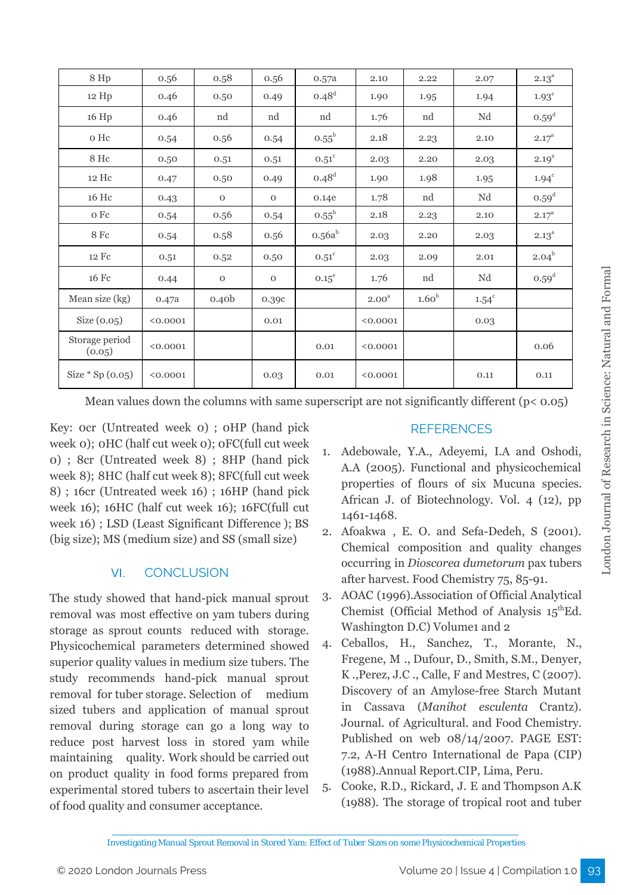| 8 Hp                     | 0.56     | 0.58              | 0.56        | 0.57a          | 2.10              | 2.22              | 2.07         | $2.13^{\circ}$    |
|--------------------------|----------|-------------------|-------------|----------------|-------------------|-------------------|--------------|-------------------|
| 12 Hp                    | 0.46     | 0.50              | 0.49        | $0.48^d$       | 1.90              | 1.95              | 1.94         | $1.93^{\circ}$    |
| 16 Hp                    | 0.46     | nd                | nd          | nd             | 1.76              | nd                | Nd           | $0.59^d$          |
| o Hc                     | 0.54     | 0.56              | 0.54        | $0.55^{\rm b}$ | 2.18              | 2.23              | 2.10         | $2.17^{\circ}$    |
| 8 Hc                     | 0.50     | 0.51              | 0.51        | $0.51^\circ$   | 2.03              | 2.20              | 2.03         | $2.19^{a}$        |
| 12 Hc                    | 0.47     | 0.50              | 0.49        | $0.48^d$       | 1.90              | 1.98              | 1.95         | $1.94^c$          |
| 16 Hc                    | 0.43     | $\mathbf 0$       | $\mathbf 0$ | 0.14e          | 1.78              | nd                | Nd           | 0.59 <sup>d</sup> |
| $\rm o\;Fc$              | 0.54     | 0.56              | 0.54        | $0.55^{\rm b}$ | 2.18              | 2.23              | 2.10         | $2.17^{\rm a}$    |
| 8 Fc                     | 0.54     | 0.58              | 0.56        | $0.56a^b$      | 2.03              | 2.20              | 2.03         | $2.13^{\circ}$    |
| 12 Fc                    | 0.51     | 0.52              | 0.50        | $0.51^\circ$   | 2.03              | 2.09              | 2.01         | $2.04^{b}$        |
| 16 Fc                    | 0.44     | $\mathbf 0$       | $\mathbf 0$ | $0.15^{\circ}$ | 1.76              | nd                | Nd           | 0.59 <sup>d</sup> |
| Mean size (kg)           | 0.47a    | 0.40 <sub>b</sub> | 0.39c       |                | 2.00 <sup>a</sup> | 1.60 <sup>b</sup> | $1.54^\circ$ |                   |
| Size $(0.05)$            | < 0.0001 |                   | 0.01        |                | < 0.0001          |                   | 0.03         |                   |
| Storage period<br>(0.05) | < 0.0001 |                   |             | 0.01           | < 0.0001          |                   |              | 0.06              |
| Size $*$ Sp $(0.05)$     | < 0.0001 |                   | 0.03        | 0.01           | < 0.0001          |                   | 0.11         | 0.11              |

Mean values down the columns with same superscript are not significantly different ( $p < 0.05$ )

Key: 0cr (Untreated week 0) ; 0HP (hand pick week 0); 0HC (half cut week 0); 0FC(full cut week 0) ; 8cr (Untreated week 8) ; 8HP (hand pick week 8); 8HC (half cut week 8); 8FC(full cut week 8) ; 16cr (Untreated week 16) ; 16HP (hand pick week 16); 16HC (half cut week 16); 16FC(full cut week 16) ; LSD (Least Significant Difference ); BS (big size); MS (medium size) and SS (small size)

# VI. CONCLUSION

The study showed that hand-pick manual sprout removal was most effective on yam tubers during storage as sprout counts reduced with storage. Physicochemical parameters determined showed superior quality values in medium size tubers. The study recommends hand-pick manual sprout removal for tuber storage. Selection of medium sized tubers and application of manual sprout removal during storage can go a long way to reduce post harvest loss in stored yam while maintaining quality. Work should be carried out on product quality in food forms prepared from experimental stored tubers to ascertain their level of food quality and consumer acceptance.

# **REFERENCES**

- 1. Adebowale, Y.A., Adeyemi, I.A and Oshodi, A.A (2005). Functional and physicochemical properties of flours of six Mucuna species. African J. of Biotechnology. Vol. 4 (12), pp 1461-1468.
- 2. Afoakwa , E. O. and Sefa-Dedeh, S (2001). Chemical composition and quality changes occurring in *Dioscorea dumetorum* pax tubers after harvest. Food Chemistry 75, 85-91.
- 3. AOAC (1996).Association of Official Analytical Chemist (Official Method of Analysis  $15^{\text{th}} Ed$ . Washington D.C) Volumet and 2
- 4. Ceballos, H., Sanchez, T., Morante, N., Fregene, M ., Dufour, D., Smith, S.M., Denyer, K .,Perez, J.C ., Calle, F and Mestres, C (2007). Discovery of an Amylose-free Starch Mutant in Cassava (*Manihot esculenta* Crantz). Journal. of Agricultural. and Food Chemistry. Published on web 08/14/2007. PAGE EST: 7.2, A-H Centro International de Papa (CIP) (1988).Annual Report.CIP, Lima, Peru.
- 5. Cooke, R.D., Rickard, J. E and Thompson A.K (1988). The storage of tropical root and tuber

Investigating Manual Sprout Removal in Stored Yam: Effect of Tuber Sizes on some Physicochemical Properties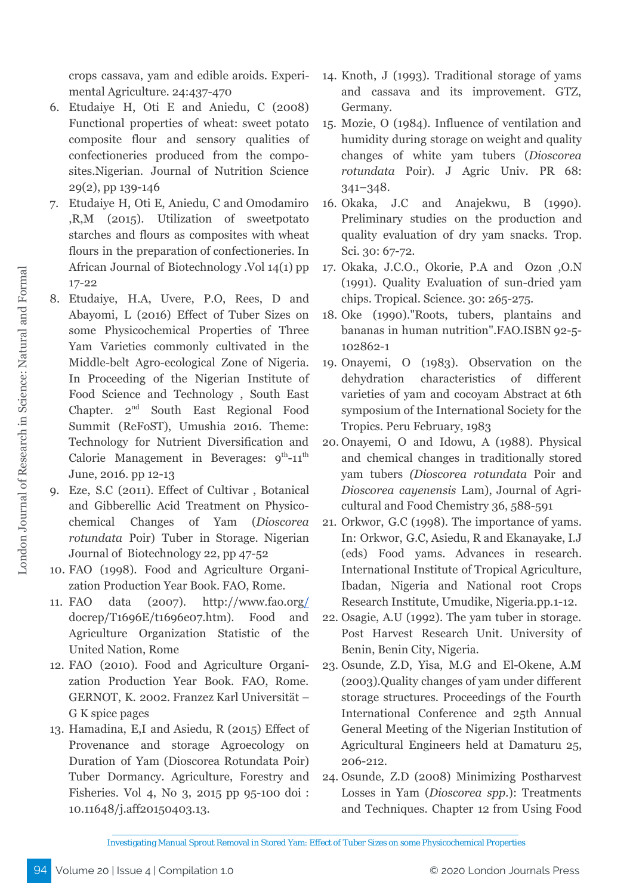crops cassava, yam and edible aroids. Experimental Agriculture. 24:437-470

- 6. Etudaiye H, Oti E and Aniedu, C (2008) Functional properties of wheat: sweet potato composite flour and sensory qualities of confectioneries produced from the composites.Nigerian. Journal of Nutrition Science 29(2), pp 139-146
- 7. Etudaiye H, Oti E, Aniedu, C and Omodamiro ,R,M (2015). Utilization of sweetpotato starches and flours as composites with wheat flours in the preparation of confectioneries. In African Journal of Biotechnology .Vol 14(1) pp 17-22
- 8. Etudaiye, H.A, Uvere, P.O, Rees, D and Abayomi, L (2016) Effect of Tuber Sizes on some Physicochemical Properties of Three Yam Varieties commonly cultivated in the Middle-belt Agro-ecological Zone of Nigeria. In Proceeding of the Nigerian Institute of Food Science and Technology , South East Chapter. 2<sup>nd</sup> South East Regional Food Summit (ReFoST), Umushia 2016. Theme: Technology for Nutrient Diversification and Calorie Management in Beverages:  $9^{th}$ -11<sup>th</sup> June, 2016. pp 12-13
- 9. Eze, S.C (2011). Effect of Cultivar , Botanical and Gibberellic Acid Treatment on Physicochemical Changes of Yam (*Dioscorea rotundata* Poir) Tuber in Storage. Nigerian Journal of Biotechnology 22, pp 47-52
- 10. FAO (1998). Food and Agriculture Organization Production Year Book. FAO, Rome.
- 11. FAO data (2007). <http://www.fao.org/> docrep/T1696E/t1696e07.htm). Food and Agriculture Organization Statistic of the United Nation, Rome
- 12. FAO (2010). Food and Agriculture Organization Production Year Book. FAO, Rome. GERNOT, K. 2002. Franzez Karl Universität – G K spice pages
- 13. Hamadina, E,I and Asiedu, R (2015) Effect of Provenance and storage Agroecology on Duration of Yam (Dioscorea Rotundata Poir) Tuber Dormancy. Agriculture, Forestry and Fisheries. Vol 4, No 3, 2015 pp 95-100 doi : 10.11648/j.aff20150403.13.
- 14. Knoth, J (1993). Traditional storage of yams and cassava and its improvement. GTZ, Germany.
- 15. Mozie, O (1984). Influence of ventilation and humidity during storage on weight and quality changes of white yam tubers (*Dioscorea rotundata* Poir). J Agric Univ. PR 68: 341–348.
- 16. Okaka, J.C and Anajekwu, B (1990). Preliminary studies on the production and quality evaluation of dry yam snacks. Trop. Sci. 30: 67-72.
- 17. Okaka, J.C.O., Okorie, P.A and Ozon ,O.N (1991). Quality Evaluation of sun-dried yam chips. Tropical. Science. 30: 265-275.
- 18. Oke (1990)."Roots, tubers, [plantains](http://www.fao.org/docrep/T0207E/T0207E08.htm) and bananas in human [nutrition".](http://www.fao.org/docrep/T0207E/T0207E08.htm)FAO.[ISBN](http://en.wikipedia.org/wiki/International_Standard_Book_Number) [92-5-](http://en.wikipedia.org/wiki/Special:BookSources/92-5-102862-1) [102862-1](http://en.wikipedia.org/wiki/Special:BookSources/92-5-102862-1)
- 19. Onayemi, O (1983). Observation on the dehydration characteristics of different varieties of yam and cocoyam Abstract at 6th symposium of the International Society for the Tropics. Peru February, 1983
- 20. Onayemi, O and Idowu, A (1988). Physical and chemical changes in traditionally stored yam tubers *(Dioscorea rotundata* Poir and *Dioscorea cayenensis* Lam), Journal of Agricultural and Food Chemistry 36, 588-591
- 21. Orkwor, G.C (1998). The importance of yams. In: Orkwor, G.C, Asiedu, R and Ekanayake, I.J (eds) Food yams. Advances in research. International Institute of Tropical Agriculture, Ibadan, Nigeria and National root Crops Research Institute, Umudike, Nigeria.pp.1-12.
- 22. Osagie, A.U (1992). The yam tuber in storage. Post Harvest Research Unit. University of Benin, Benin City, Nigeria.
- 23. Osunde, Z.D, Yisa, M.G and El-Okene, A.M (2003).Quality changes of yam under different storage structures. Proceedings of the Fourth International Conference and 25th Annual General Meeting of the Nigerian Institution of Agricultural Engineers held at Damaturu 25, 206-212.
- 24. Osunde, Z.D (2008) Minimizing Postharvest Losses in Yam (*Dioscorea spp.*): Treatments and Techniques. Chapter 12 from Using Food

Investigating Manual Sprout Removal in Stored Yam: Effect of Tuber Sizes on some Physicochemical Properties